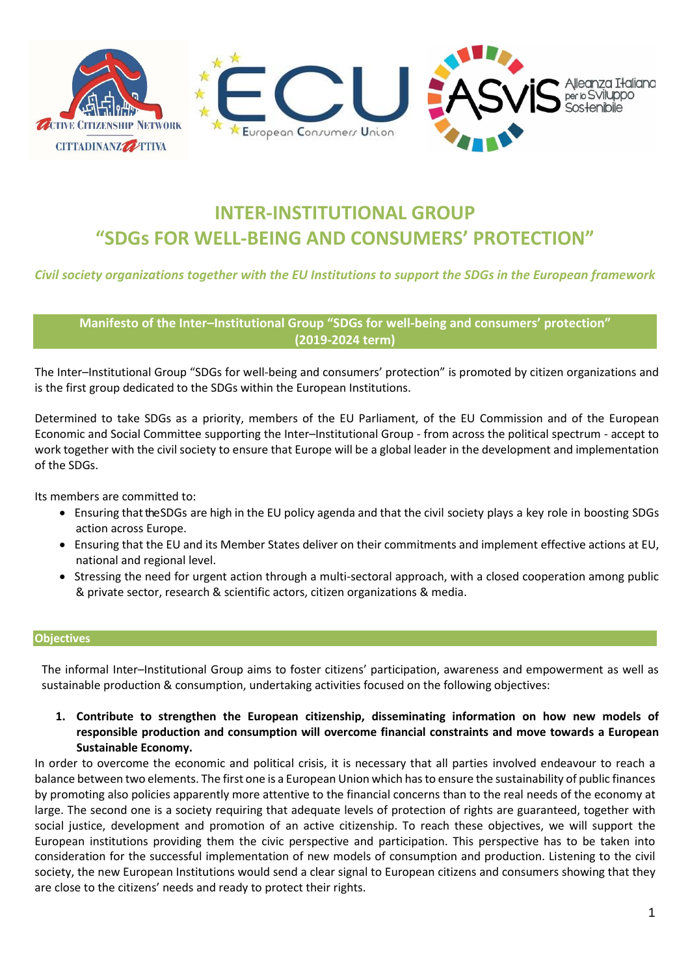

# **INTER-INSTITUTIONAL GROUP "SDGs FOR WELL-BEING AND CONSUMERS' PROTECTION"**

## *Civil society organizations together with the EU Institutions to support the SDGs in the European framework*

**Manifesto of the Inter–Institutional Group "SDGs for well-being and consumers' protection" (2019-2024 term)**

The Inter–Institutional Group "SDGs for well-being and consumers' protection" is promoted by citizen organizations and is the first group dedicated to the SDGs within the European Institutions.

Determined to take SDGs as a priority, members of the EU Parliament, of the EU Commission and of the European Economic and Social Committee supporting the Inter–Institutional Group - from across the political spectrum - accept to work together with the civil society to ensure that Europe will be a global leader in the development and implementation of the SDGs.

Its members are committed to:

- Ensuring that the SDGs are high in the EU policy agenda and that the civil society plays a key role in boosting SDGs action across Europe.
- Ensuring that the EU and its Member States deliver on their commitments and implement effective actions at EU, national and regional level.
- Stressing the need for urgent action through a multi-sectoral approach, with a closed cooperation among public & private sector, research & scientific actors, citizen organizations & media.

#### **Objectives**

The informal Inter–Institutional Group aims to foster citizens' participation, awareness and empowerment as well as sustainable production & consumption, undertaking activities focused on the following objectives:

**1. Contribute to strengthen the European citizenship, disseminating information on how new models of responsible production and consumption will overcome financial constraints and move towards a European Sustainable Economy.**

In order to overcome the economic and political crisis, it is necessary that all parties involved endeavour to reach a balance between two elements. The first one is a European Union which has to ensure the sustainability of public finances by promoting also policies apparently more attentive to the financial concerns than to the real needs of the economy at large. The second one is a society requiring that adequate levels of protection of rights are guaranteed, together with social justice, development and promotion of an active citizenship. To reach these objectives, we will support the European institutions providing them the civic perspective and participation. This perspective has to be taken into consideration for the successful implementation of new models of consumption and production. Listening to the civil society, the new European Institutions would send a clear signal to European citizens and consumers showing that they are close to the citizens' needs and ready to protect their rights.